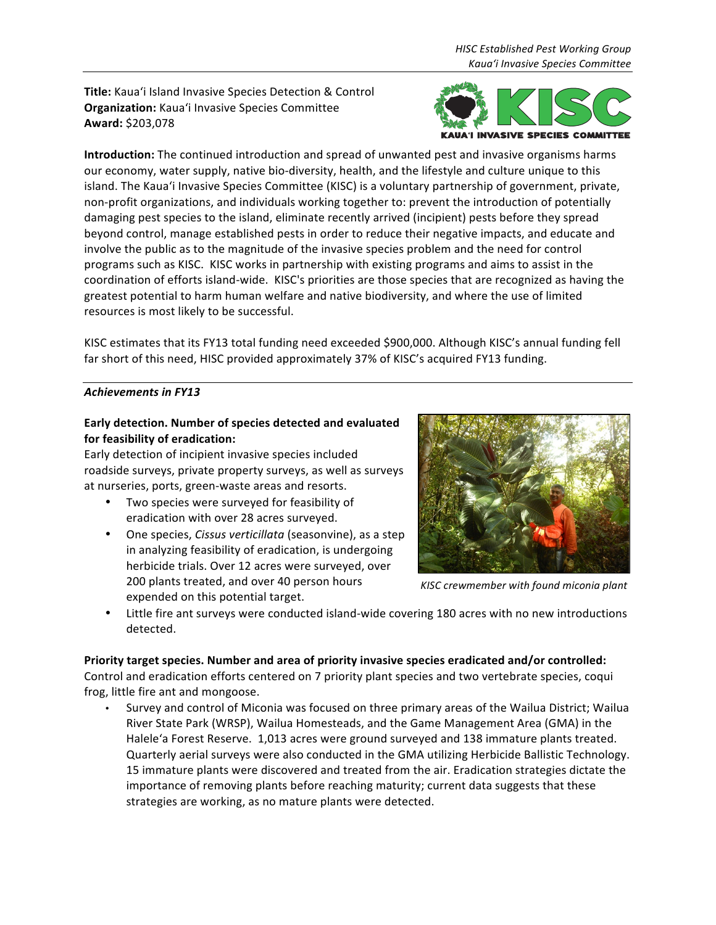**Title:** Kaua'i Island Invasive Species Detection & Control **Organization:** Kaua'i Invasive Species Committee **Award:** \$203,078



**Introduction:** The continued introduction and spread of unwanted pest and invasive organisms harms our economy, water supply, native bio-diversity, health, and the lifestyle and culture unique to this island. The Kaua'i Invasive Species Committee (KISC) is a voluntary partnership of government, private, non-profit organizations, and individuals working together to: prevent the introduction of potentially damaging pest species to the island, eliminate recently arrived (incipient) pests before they spread beyond control, manage established pests in order to reduce their negative impacts, and educate and involve the public as to the magnitude of the invasive species problem and the need for control programs such as KISC. KISC works in partnership with existing programs and aims to assist in the coordination of efforts island-wide. KISC's priorities are those species that are recognized as having the greatest potential to harm human welfare and native biodiversity, and where the use of limited resources is most likely to be successful.

KISC estimates that its FY13 total funding need exceeded \$900,000. Although KISC's annual funding fell far short of this need, HISC provided approximately 37% of KISC's acquired FY13 funding.

## Achievements in FY13

# Early detection. Number of species detected and evaluated **for feasibility of eradication:**

Early detection of incipient invasive species included roadside surveys, private property surveys, as well as surveys at nurseries, ports, green-waste areas and resorts.

- Two species were surveyed for feasibility of eradication with over 28 acres surveyed.
- One species, *Cissus verticillata* (seasonvine), as a step in analyzing feasibility of eradication, is undergoing herbicide trials. Over 12 acres were surveyed, over 200 plants treated, and over 40 person hours expended on this potential target.



*KISC crewmember with found miconia plant*

Little fire ant surveys were conducted island-wide covering 180 acres with no new introductions detected.

### Priority target species. Number and area of priority invasive species eradicated and/or controlled: Control and eradication efforts centered on 7 priority plant species and two vertebrate species, coqui frog, little fire ant and mongoose.

Survey and control of Miconia was focused on three primary areas of the Wailua District; Wailua River State Park (WRSP), Wailua Homesteads, and the Game Management Area (GMA) in the Halele'a Forest Reserve. 1,013 acres were ground surveyed and 138 immature plants treated. Quarterly aerial surveys were also conducted in the GMA utilizing Herbicide Ballistic Technology. 15 immature plants were discovered and treated from the air. Eradication strategies dictate the importance of removing plants before reaching maturity; current data suggests that these strategies are working, as no mature plants were detected.